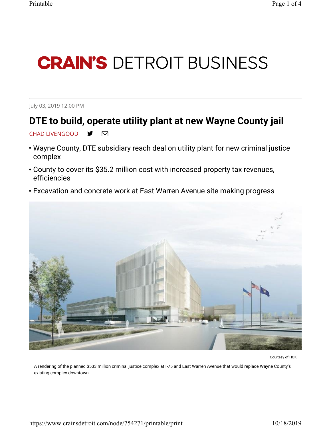## **CRAIN'S DETROIT BUSINESS**

July 03, 2019 12:00 PM

## DTE to build, operate utility plant at new Wayne County jail

## CHAD LIVENGOOD ♥ ⊠

- Wayne County, DTE subsidiary reach deal on utility plant for new criminal justice complex
- County to cover its \$35.2 million cost with increased property tax revenues, efficiencies
- Excavation and concrete work at East Warren Avenue site making progress



Courtesy of HOK

A rendering of the planned \$533 million criminal justice complex at I-75 and East Warren Avenue that would replace Wayne County's existing complex downtown.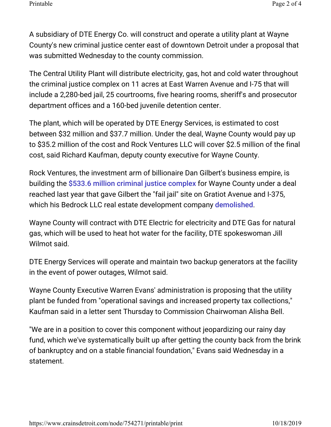A subsidiary of DTE Energy Co. will construct and operate a utility plant at Wayne County's new criminal justice center east of downtown Detroit under a proposal that was submitted Wednesday to the county commission.

The Central Utility Plant will distribute electricity, gas, hot and cold water throughout the criminal justice complex on 11 acres at East Warren Avenue and I-75 that will include a 2,280-bed jail, 25 courtrooms, five hearing rooms, sheriff's and prosecutor department offices and a 160-bed juvenile detention center.

The plant, which will be operated by DTE Energy Services, is estimated to cost between \$32 million and \$37.7 million. Under the deal, Wayne County would pay up to \$35.2 million of the cost and Rock Ventures LLC will cover \$2.5 million of the final cost, said Richard Kaufman, deputy county executive for Wayne County.

Rock Ventures, the investment arm of billionaire Dan Gilbert's business empire, is building the \$533.6 million criminal justice complex for Wayne County under a deal reached last year that gave Gilbert the "fail jail" site on Gratiot Avenue and I-375, which his Bedrock LLC real estate development company demolished.

Wayne County will contract with DTE Electric for electricity and DTE Gas for natural gas, which will be used to heat hot water for the facility, DTE spokeswoman Jill Wilmot said.

DTE Energy Services will operate and maintain two backup generators at the facility in the event of power outages, Wilmot said.

Wayne County Executive Warren Evans' administration is proposing that the utility plant be funded from "operational savings and increased property tax collections," Kaufman said in a letter sent Thursday to Commission Chairwoman Alisha Bell.

"We are in a position to cover this component without jeopardizing our rainy day fund, which we've systematically built up after getting the county back from the brink of bankruptcy and on a stable financial foundation," Evans said Wednesday in a statement.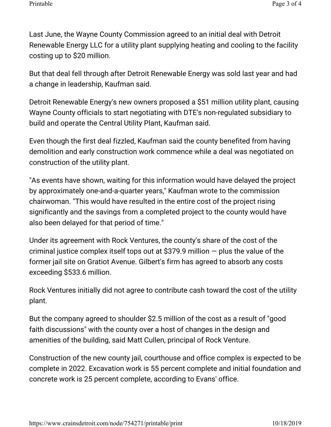Last June, the Wayne County Commission agreed to an initial deal with Detroit Renewable Energy LLC for a utility plant supplying heating and cooling to the facility costing up to \$20 million.

But that deal fell through after Detroit Renewable Energy was sold last year and had a change in leadership, Kaufman said.

Detroit Renewable Energy's new owners proposed a \$51 million utility plant, causing Wayne County officials to start negotiating with DTE's non-regulated subsidiary to build and operate the Central Utility Plant, Kaufman said.

Even though the first deal fizzled, Kaufman said the county benefited from having demolition and early construction work commence while a deal was negotiated on construction of the utility plant.

"As events have shown, waiting for this information would have delayed the project by approximately one-and-a-quarter years," Kaufman wrote to the commission chairwoman. "This would have resulted in the entire cost of the project rising significantly and the savings from a completed project to the county would have also been delayed for that period of time."

Under its agreement with Rock Ventures, the county's share of the cost of the criminal justice complex itself tops out at \$379.9 million — plus the value of the former jail site on Gratiot Avenue. Gilbert's firm has agreed to absorb any costs exceeding \$533.6 million.

Rock Ventures initially did not agree to contribute cash toward the cost of the utility plant.

But the company agreed to shoulder \$2.5 million of the cost as a result of "good faith discussions" with the county over a host of changes in the design and amenities of the building, said Matt Cullen, principal of Rock Venture.

Construction of the new county jail, courthouse and office complex is expected to be complete in 2022. Excavation work is 55 percent complete and initial foundation and concrete work is 25 percent complete, according to Evans' office.